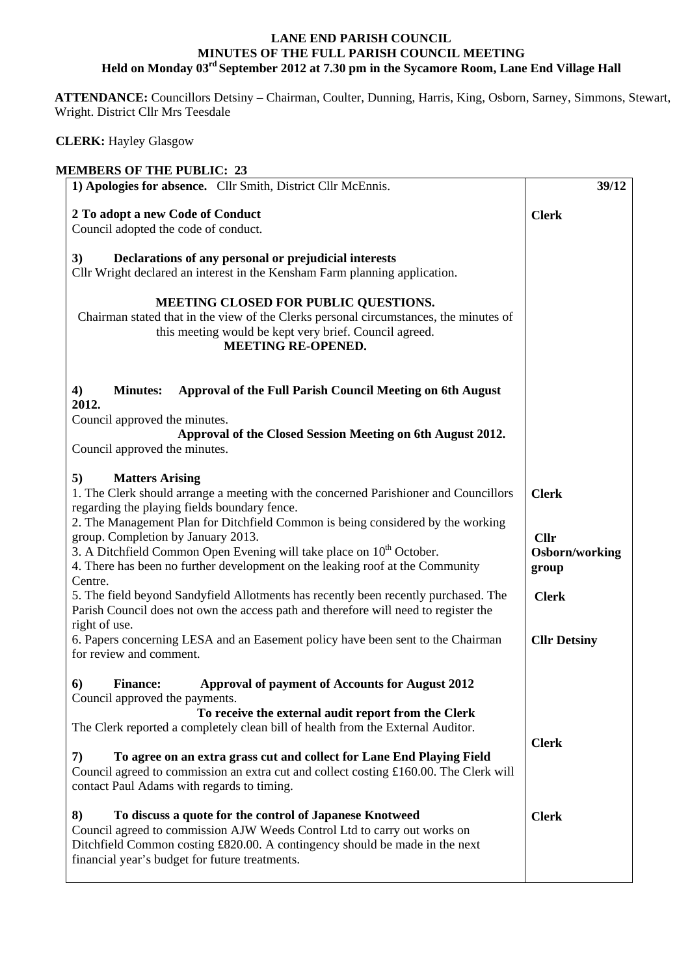## **LANE END PARISH COUNCIL MINUTES OF THE FULL PARISH COUNCIL MEETING Held on Monday 03rd September 2012 at 7.30 pm in the Sycamore Room, Lane End Village Hall**

 **ATTENDANCE:** Councillors Detsiny – Chairman, Coulter, Dunning, Harris, King, Osborn, Sarney, Simmons, Stewart, Wright. District Cllr Mrs Teesdale

 **CLERK:** Hayley Glasgow

| <b>MEMBERS OF THE PUBLIC: 23</b>                                                                                                          |                     |
|-------------------------------------------------------------------------------------------------------------------------------------------|---------------------|
| 1) Apologies for absence. Cllr Smith, District Cllr McEnnis.                                                                              | 39/12               |
| 2 To adopt a new Code of Conduct                                                                                                          | <b>Clerk</b>        |
| Council adopted the code of conduct.                                                                                                      |                     |
|                                                                                                                                           |                     |
| 3)<br>Declarations of any personal or prejudicial interests<br>Cllr Wright declared an interest in the Kensham Farm planning application. |                     |
| MEETING CLOSED FOR PUBLIC QUESTIONS.                                                                                                      |                     |
| Chairman stated that in the view of the Clerks personal circumstances, the minutes of                                                     |                     |
| this meeting would be kept very brief. Council agreed.                                                                                    |                     |
| <b>MEETING RE-OPENED.</b>                                                                                                                 |                     |
| $\boldsymbol{4}$<br><b>Minutes:</b><br>Approval of the Full Parish Council Meeting on 6th August                                          |                     |
| 2012.                                                                                                                                     |                     |
| Council approved the minutes.<br>Approval of the Closed Session Meeting on 6th August 2012.                                               |                     |
| Council approved the minutes.                                                                                                             |                     |
|                                                                                                                                           |                     |
| <b>Matters Arising</b><br>5)                                                                                                              |                     |
| 1. The Clerk should arrange a meeting with the concerned Parishioner and Councillors                                                      | <b>Clerk</b>        |
| regarding the playing fields boundary fence.<br>2. The Management Plan for Ditchfield Common is being considered by the working           |                     |
| group. Completion by January 2013.                                                                                                        | <b>Cllr</b>         |
| 3. A Ditchfield Common Open Evening will take place on $10^{th}$ October.                                                                 | Osborn/working      |
| 4. There has been no further development on the leaking roof at the Community                                                             | group               |
| Centre.                                                                                                                                   |                     |
| 5. The field beyond Sandyfield Allotments has recently been recently purchased. The                                                       | <b>Clerk</b>        |
| Parish Council does not own the access path and therefore will need to register the<br>right of use.                                      |                     |
| 6. Papers concerning LESA and an Easement policy have been sent to the Chairman                                                           | <b>Cllr Detsiny</b> |
| for review and comment.                                                                                                                   |                     |
|                                                                                                                                           |                     |
| 6)<br><b>Finance:</b><br><b>Approval of payment of Accounts for August 2012</b><br>Council approved the payments.                         |                     |
| To receive the external audit report from the Clerk                                                                                       |                     |
| The Clerk reported a completely clean bill of health from the External Auditor.                                                           |                     |
|                                                                                                                                           | <b>Clerk</b>        |
| To agree on an extra grass cut and collect for Lane End Playing Field<br>7)                                                               |                     |
| Council agreed to commission an extra cut and collect costing $£160.00$ . The Clerk will                                                  |                     |
| contact Paul Adams with regards to timing.                                                                                                |                     |
| 8)<br>To discuss a quote for the control of Japanese Knotweed                                                                             | <b>Clerk</b>        |
| Council agreed to commission AJW Weeds Control Ltd to carry out works on                                                                  |                     |
| Ditchfield Common costing £820.00. A contingency should be made in the next                                                               |                     |
| financial year's budget for future treatments.                                                                                            |                     |
|                                                                                                                                           |                     |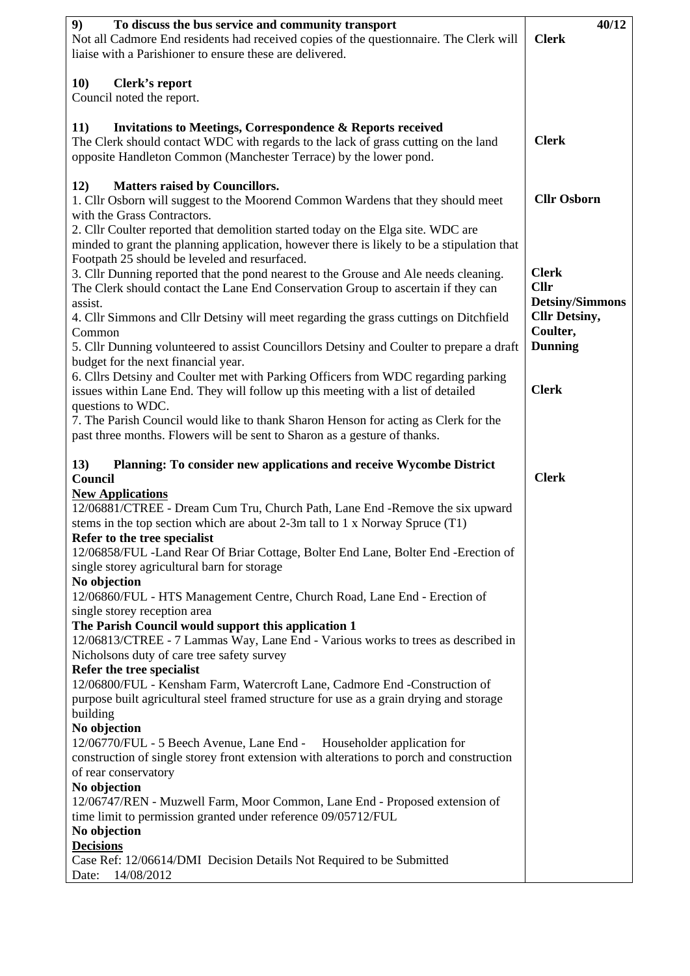| 9)<br>To discuss the bus service and community transport                                   | 40/12                  |
|--------------------------------------------------------------------------------------------|------------------------|
| Not all Cadmore End residents had received copies of the questionnaire. The Clerk will     | <b>Clerk</b>           |
| liaise with a Parishioner to ensure these are delivered.                                   |                        |
|                                                                                            |                        |
| <b>10)</b><br><b>Clerk's report</b>                                                        |                        |
| Council noted the report.                                                                  |                        |
| <b>11</b> )<br><b>Invitations to Meetings, Correspondence &amp; Reports received</b>       |                        |
| The Clerk should contact WDC with regards to the lack of grass cutting on the land         | <b>Clerk</b>           |
| opposite Handleton Common (Manchester Terrace) by the lower pond.                          |                        |
|                                                                                            |                        |
| <b>Matters raised by Councillors.</b><br><b>12</b> )                                       |                        |
| 1. Cllr Osborn will suggest to the Moorend Common Wardens that they should meet            | <b>Cllr Osborn</b>     |
| with the Grass Contractors.                                                                |                        |
| 2. Cllr Coulter reported that demolition started today on the Elga site. WDC are           |                        |
| minded to grant the planning application, however there is likely to be a stipulation that |                        |
| Footpath 25 should be leveled and resurfaced.                                              |                        |
| 3. Cllr Dunning reported that the pond nearest to the Grouse and Ale needs cleaning.       | <b>Clerk</b>           |
| The Clerk should contact the Lane End Conservation Group to ascertain if they can          | <b>Cllr</b>            |
| assist.                                                                                    | <b>Detsiny/Simmons</b> |
| 4. Cllr Simmons and Cllr Detsiny will meet regarding the grass cuttings on Ditchfield      | <b>Cllr Detsiny,</b>   |
| Common                                                                                     | Coulter,               |
| 5. Cllr Dunning volunteered to assist Councillors Detsiny and Coulter to prepare a draft   | <b>Dunning</b>         |
| budget for the next financial year.                                                        |                        |
| 6. Cllrs Detsiny and Coulter met with Parking Officers from WDC regarding parking          |                        |
| issues within Lane End. They will follow up this meeting with a list of detailed           | <b>Clerk</b>           |
| questions to WDC.                                                                          |                        |
| 7. The Parish Council would like to thank Sharon Henson for acting as Clerk for the        |                        |
| past three months. Flowers will be sent to Sharon as a gesture of thanks.                  |                        |
|                                                                                            |                        |
|                                                                                            |                        |
| 13)<br>Planning: To consider new applications and receive Wycombe District                 |                        |
| Council                                                                                    | <b>Clerk</b>           |
| <b>New Applications</b>                                                                    |                        |
| 12/06881/CTREE - Dream Cum Tru, Church Path, Lane End -Remove the six upward               |                        |
| stems in the top section which are about 2-3m tall to 1 x Norway Spruce $(T1)$             |                        |
| Refer to the tree specialist                                                               |                        |
| 12/06858/FUL -Land Rear Of Briar Cottage, Bolter End Lane, Bolter End -Erection of         |                        |
| single storey agricultural barn for storage                                                |                        |
| No objection                                                                               |                        |
| 12/06860/FUL - HTS Management Centre, Church Road, Lane End - Erection of                  |                        |
| single storey reception area                                                               |                        |
| The Parish Council would support this application 1                                        |                        |
| 12/06813/CTREE - 7 Lammas Way, Lane End - Various works to trees as described in           |                        |
| Nicholsons duty of care tree safety survey                                                 |                        |
| Refer the tree specialist                                                                  |                        |
| 12/06800/FUL - Kensham Farm, Watercroft Lane, Cadmore End -Construction of                 |                        |
| purpose built agricultural steel framed structure for use as a grain drying and storage    |                        |
| building                                                                                   |                        |
| No objection                                                                               |                        |
| 12/06770/FUL - 5 Beech Avenue, Lane End - Householder application for                      |                        |
| construction of single storey front extension with alterations to porch and construction   |                        |
| of rear conservatory                                                                       |                        |
| No objection                                                                               |                        |
| 12/06747/REN - Muzwell Farm, Moor Common, Lane End - Proposed extension of                 |                        |
| time limit to permission granted under reference 09/05712/FUL                              |                        |
| No objection                                                                               |                        |
| <b>Decisions</b><br>Case Ref: 12/06614/DMI Decision Details Not Required to be Submitted   |                        |